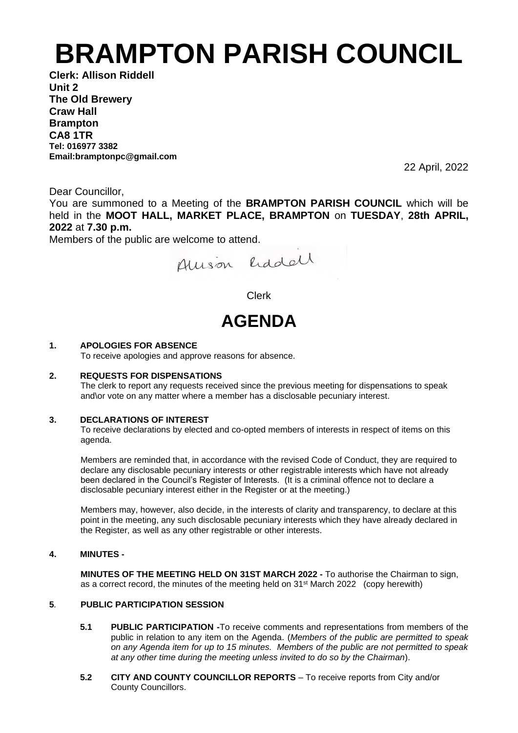# **BRAMPTON PARISH COUNCIL**

**Clerk: Allison Riddell Unit 2 The Old Brewery Craw Hall Brampton CA8 1TR Tel: 016977 3382 Email:bramptonpc@gmail.com**

22 April, 2022

Dear Councillor,

You are summoned to a Meeting of the **BRAMPTON PARISH COUNCIL** which will be held in the **MOOT HALL, MARKET PLACE, BRAMPTON** on **TUESDAY**, **28th APRIL, 2022** at **7.30 p.m.**

Members of the public are welcome to attend.

Allison Eddell

Clerk

# **AGENDA**

# **1. APOLOGIES FOR ABSENCE**

To receive apologies and approve reasons for absence.

#### **2. REQUESTS FOR DISPENSATIONS**

The clerk to report any requests received since the previous meeting for dispensations to speak and\or vote on any matter where a member has a disclosable pecuniary interest.

#### **3. DECLARATIONS OF INTEREST**

To receive declarations by elected and co-opted members of interests in respect of items on this agenda.

Members are reminded that, in accordance with the revised Code of Conduct, they are required to declare any disclosable pecuniary interests or other registrable interests which have not already been declared in the Council's Register of Interests. (It is a criminal offence not to declare a disclosable pecuniary interest either in the Register or at the meeting.)

Members may, however, also decide, in the interests of clarity and transparency, to declare at this point in the meeting, any such disclosable pecuniary interests which they have already declared in the Register, as well as any other registrable or other interests.

### **4. MINUTES -**

**MINUTES OF THE MEETING HELD ON 31ST MARCH 2022 -** To authorise the Chairman to sign, as a correct record, the minutes of the meeting held on 31st March 2022 (copy herewith)

# **5***.* **PUBLIC PARTICIPATION SESSION**

- **5.1 PUBLIC PARTICIPATION -**To receive comments and representations from members of the public in relation to any item on the Agenda. (*Members of the public are permitted to speak on any Agenda item for up to 15 minutes. Members of the public are not permitted to speak at any other time during the meeting unless invited to do so by the Chairman*).
- **5.2 CITY AND COUNTY COUNCILLOR REPORTS** To receive reports from City and/or County Councillors.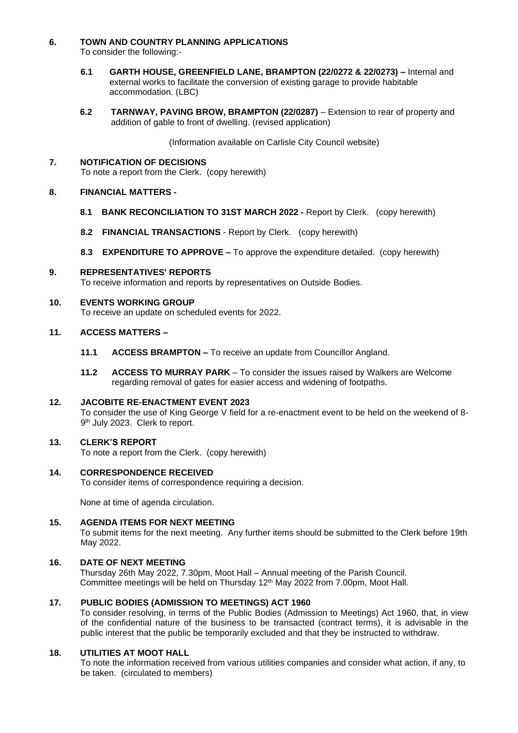#### **6. TOWN AND COUNTRY PLANNING APPLICATIONS**  To consider the following:-

- **6.1 GARTH HOUSE, GREENFIELD LANE, BRAMPTON (22/0272 & 22/0273) –** Internal and external works to facilitate the conversion of existing garage to provide habitable accommodation. (LBC)
- **6.2 TARNWAY, PAVING BROW, BRAMPTON (22/0287)** Extension to rear of property and addition of gable to front of dwelling. (revised application)

(Information available on Carlisle City Council website)

# **7. NOTIFICATION OF DECISIONS**

To note a report from the Clerk. (copy herewith)

# **8. FINANCIAL MATTERS -**

- **8.1 BANK RECONCILIATION TO 31ST MARCH 2022 -** Report by Clerk. (copy herewith)
- **8.2 FINANCIAL TRANSACTIONS** Report by Clerk. (copy herewith)
- **8.3 EXPENDITURE TO APPROVE –** To approve the expenditure detailed.(copy herewith)

#### **9. REPRESENTATIVES' REPORTS** To receive information and reports by representatives on Outside Bodies.

### **10. EVENTS WORKING GROUP**

To receive an update on scheduled events for 2022.

### **11. ACCESS MATTERS –**

- **11.1 ACCESS BRAMPTON –** To receive an update from Councillor Angland.
- **11.2 ACCESS TO MURRAY PARK** To consider the issues raised by Walkers are Welcome regarding removal of gates for easier access and widening of footpaths.

# **12. JACOBITE RE-ENACTMENT EVENT 2023**

To consider the use of King George V field for a re-enactment event to be held on the weekend of 8- 9<sup>th</sup> July 2023. Clerk to report.

#### **13. CLERK'S REPORT**

To note a report from the Clerk. (copy herewith)

# **14. CORRESPONDENCE RECEIVED**

To consider items of correspondence requiring a decision.

None at time of agenda circulation.

# **15. AGENDA ITEMS FOR NEXT MEETING**

To submit items for the next meeting. Any further items should be submitted to the Clerk before 19th May 2022.

# **16. DATE OF NEXT MEETING**

Thursday 26th May 2022, 7.30pm, Moot Hall – Annual meeting of the Parish Council. Committee meetings will be held on Thursday 12<sup>th</sup> May 2022 from 7.00pm, Moot Hall.

# **17. PUBLIC BODIES (ADMISSION TO MEETINGS) ACT 1960**

To consider resolving, in terms of the Public Bodies (Admission to Meetings) Act 1960, that, in view of the confidential nature of the business to be transacted (contract terms), it is advisable in the public interest that the public be temporarily excluded and that they be instructed to withdraw.

# **18. UTILITIES AT MOOT HALL**

To note the information received from various utilities companies and consider what action, if any, to be taken. (circulated to members)